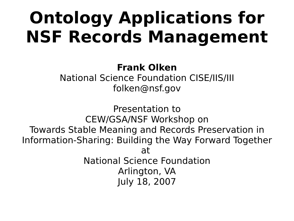### **Ontology Applications for NSF Records Management**

#### **Frank Olken** National Science Foundation CISE/IIS/III folken@nsf.gov

Presentation to CEW/GSA/NSF Workshop on Towards Stable Meaning and Records Preservation in Information-Sharing: Building the Way Forward Together at National Science Foundation Arlington, VA July 18, 2007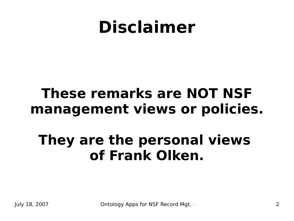### **Disclaimer**

#### **These remarks are NOT NSF management views or policies.**

#### **They are the personal views of Frank Olken.**

July 18, 2007 **Ontology Apps for NSF Record Mgt.** And NSF Official NSF Doc. 2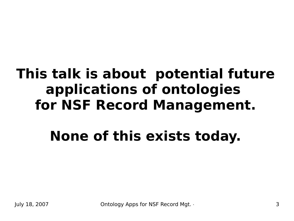### **This talk is about potential future applications of ontologies for NSF Record Management.**

### **None of this exists today.**

July 18, 2007 **Ontology Apps for NSF Record Mgt.** And NSF Official NSF Doc. 3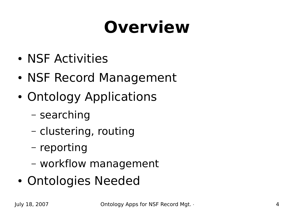# **Overview**

- NSF Activities
- NSF Record Management
- Ontology Applications
	- searching
	- clustering, routing
	- reporting
	- workflow management
- Ontologies Needed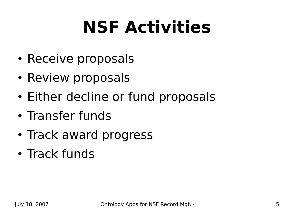# **NSF Activities**

- Receive proposals
- Review proposals
- Either decline or fund proposals
- Transfer funds
- Track award progress
- Track funds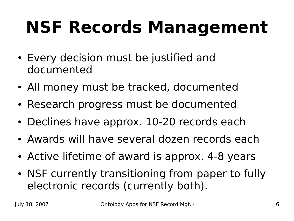# **NSF Records Management**

- Every decision must be justified and documented
- All money must be tracked, documented
- Research progress must be documented
- Declines have approx. 10-20 records each
- Awards will have several dozen records each
- Active lifetime of award is approx. 4-8 years
- NSF currently transitioning from paper to fully electronic records (currently both).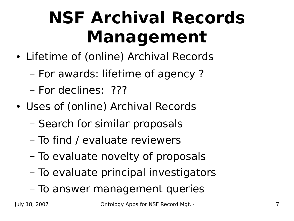# **NSF Archival Records Management**

- Lifetime of (online) Archival Records
	- For awards: lifetime of agency ?
	- For declines: ???
- Uses of (online) Archival Records
	- Search for similar proposals
	- To find / evaluate reviewers
	- To evaluate novelty of proposals
	- To evaluate principal investigators
	- To answer management queries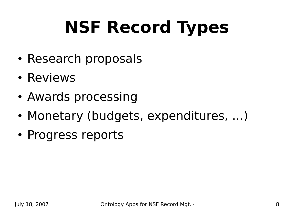# **NSF Record Types**

- Research proposals
- Reviews
- Awards processing
- Monetary (budgets, expenditures, ...)
- Progress reports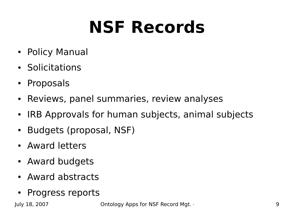# **NSF Records**

- Policy Manual
- Solicitations
- Proposals
- Reviews, panel summaries, review analyses
- IRB Approvals for human subjects, animal subjects
- Budgets (proposal, NSF)
- Award letters
- Award budgets
- Award abstracts
- Progress reports

July 18, 2007 **Ontology Apps for NSF Record Mgt.** And NSF Official NSF Doc. 9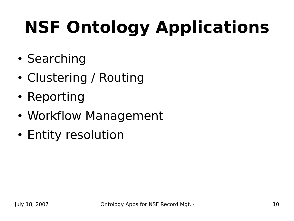# **NSF Ontology Applications**

- Searching
- Clustering / Routing
- Reporting
- Workflow Management
- Entity resolution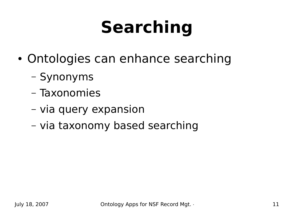# **Searching**

- Ontologies can enhance searching
	- Synonyms
	- Taxonomies
	- via query expansion
	- via taxonomy based searching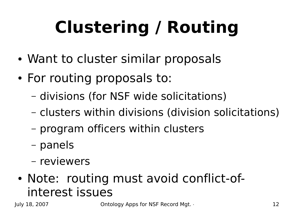# **Clustering / Routing**

- Want to cluster similar proposals
- For routing proposals to:
	- divisions (for NSF wide solicitations)
	- clusters within divisions (division solicitations)
	- program officers within clusters
	- panels
	- reviewers
- Note: routing must avoid conflict-ofinterest issues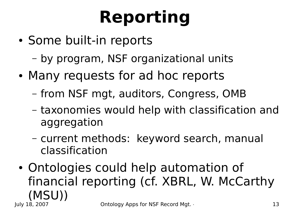# **Reporting**

- Some built-in reports
	- by program, NSF organizational units
- Many requests for ad hoc reports
	- from NSF mgt, auditors, Congress, OMB
	- taxonomies would help with classification and aggregation
	- current methods: keyword search, manual classification
- July 18, 2007 **Ontology Apps for NSF Record Mgt.** And NSF Official NSF Doc. 13 • Ontologies could help automation of financial reporting (cf. XBRL, W. McCarthy (MSU))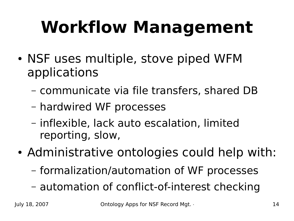# **Workflow Management**

- NSF uses multiple, stove piped WFM applications
	- communicate via file transfers, shared DB
	- hardwired WF processes
	- inflexible, lack auto escalation, limited reporting, slow,
- Administrative ontologies could help with:
	- formalization/automation of WF processes
	- automation of conflict-of-interest checking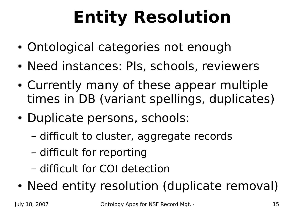# **Entity Resolution**

- Ontological categories not enough
- Need instances: PIs, schools, reviewers
- Currently many of these appear multiple times in DB (variant spellings, duplicates)
- Duplicate persons, schools:
	- difficult to cluster, aggregate records
	- difficult for reporting
	- difficult for COI detection
- Need entity resolution (duplicate removal)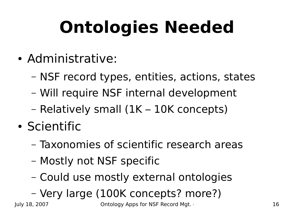# **Ontologies Needed**

- Administrative:
	- NSF record types, entities, actions, states
	- Will require NSF internal development
	- Relatively small (1K 10K concepts)
- Scientific
	- Taxonomies of scientific research areas
	- Mostly not NSF specific
	- Could use mostly external ontologies

#### – Very large (100K concepts? more?)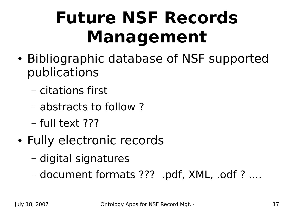# **Future NSF Records Management**

- Bibliographic database of NSF supported publications
	- citations first
	- abstracts to follow ?
	- full text ???
- Fully electronic records
	- digital signatures
	- document formats ??? .pdf, XML, .odf ? ....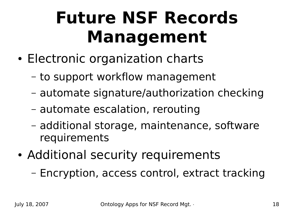## **Future NSF Records Management**

- Electronic organization charts
	- to support workflow management
	- automate signature/authorization checking
	- automate escalation, rerouting
	- additional storage, maintenance, software requirements
- Additional security requirements
	- Encryption, access control, extract tracking